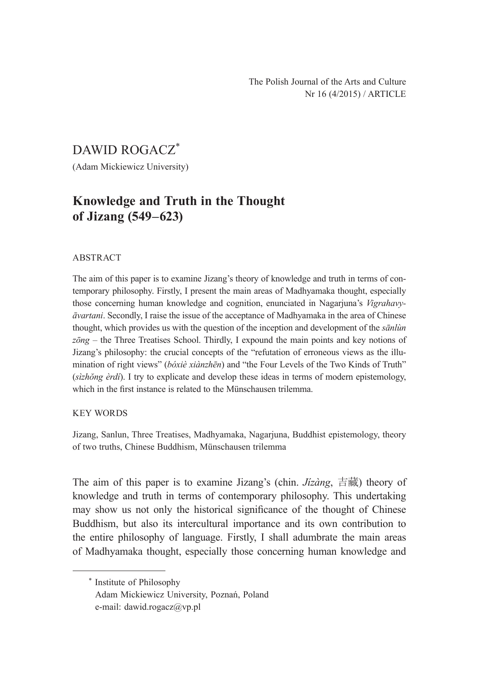The Polish Journal of the Arts and Culture Nr 16 (4/2015) / ARTICLE

# DAWID ROGACZ\*

(Adam Mickiewicz University)

## **Knowledge and Truth in the Thought of Jizang (549–623)**

#### ABSTRACT

The aim of this paper is to examine Jizang's theory of knowledge and truth in terms of contemporary philosophy. Firstly, I present the main areas of Madhyamaka thought, especially those concerning human knowledge and cognition, enunciated in Nagarjuna's *Vigrahavyāvartani*. Secondly, I raise the issue of the acceptance of Madhyamaka in the area of Chinese thought, which provides us with the question of the inception and development of the *sānlùn zōng* – the Three Treatises School. Thirdly, I expound the main points and key notions of Jizang's philosophy: the crucial concepts of the "refutation of erroneous views as the illumination of right views" (*bóxiè xiànzhēn*) and "the Four Levels of the Two Kinds of Truth" (*sìzhŏng èrdí*). I try to explicate and develop these ideas in terms of modern epistemology, which in the first instance is related to the Münschausen trilemma.

#### KEY WORDS

Jizang, Sanlun, Three Treatises, Madhyamaka, Nagarjuna, Buddhist epistemology, theory of two truths, Chinese Buddhism, Münschausen trilemma

The aim of this paper is to examine Jizang's (chin. *Jízàng*, 吉藏) theory of knowledge and truth in terms of contemporary philosophy. This undertaking may show us not only the historical significance of the thought of Chinese Buddhism, but also its intercultural importance and its own contribution to the entire philosophy of language. Firstly, I shall adumbrate the main areas of Madhyamaka thought, especially those concerning human knowledge and

\* Institute of Philosophy Adam Mickiewicz University, Poznań, Poland e-mail: dawid.rogacz@vp.pl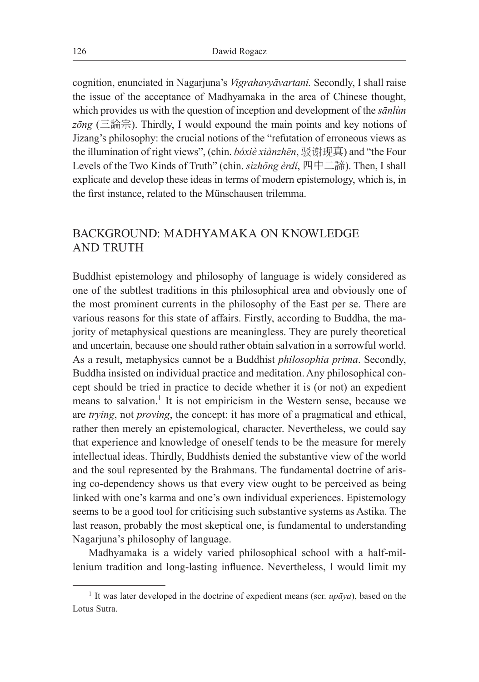cognition, enunciated in Nagarjuna's *Vigrahavyāvartani.* Secondly, I shall raise the issue of the acceptance of Madhyamaka in the area of Chinese thought, which provides us with the question of inception and development of the *sānlùn*   $z\bar{o}ng$  (三論宗). Thirdly, I would expound the main points and key notions of Jizang's philosophy: the crucial notions of the "refutation of erroneous views as the illumination of right views", (chin. *bóxiè xiànzhēn*, 驳谢现真) and "the Four Levels of the Two Kinds of Truth" (chin. *sìzhŏng èrdí*, 四中二諦). Then, I shall explicate and develop these ideas in terms of modern epistemology, which is, in the first instance, related to the Münschausen trilemma.

## BACKGROUND: MADHYAMAKA ON KNOWLEDGE AND TRUTH

Buddhist epistemology and philosophy of language is widely considered as one of the subtlest traditions in this philosophical area and obviously one of the most prominent currents in the philosophy of the East per se. There are various reasons for this state of affairs. Firstly, according to Buddha, the majority of metaphysical questions are meaningless. They are purely theoretical and uncertain, because one should rather obtain salvation in a sorrowful world. As a result, metaphysics cannot be a Buddhist *philosophia prima*. Secondly, Buddha insisted on individual practice and meditation. Any philosophical concept should be tried in practice to decide whether it is (or not) an expedient means to salvation.<sup>1</sup> It is not empiricism in the Western sense, because we are *trying*, not *proving*, the concept: it has more of a pragmatical and ethical, rather then merely an epistemological, character. Nevertheless, we could say that experience and knowledge of oneself tends to be the measure for merely intellectual ideas. Thirdly, Buddhists denied the substantive view of the world and the soul represented by the Brahmans. The fundamental doctrine of arising co-dependency shows us that every view ought to be perceived as being linked with one's karma and one's own individual experiences. Epistemology seems to be a good tool for criticising such substantive systems as Astika. The last reason, probably the most skeptical one, is fundamental to understanding Nagarjuna's philosophy of language.

Madhyamaka is a widely varied philosophical school with a half-millenium tradition and long-lasting influence. Nevertheless, I would limit my

<sup>&</sup>lt;sup>1</sup> It was later developed in the doctrine of expedient means (scr.  $up\bar{a}ya$ ), based on the Lotus Sutra.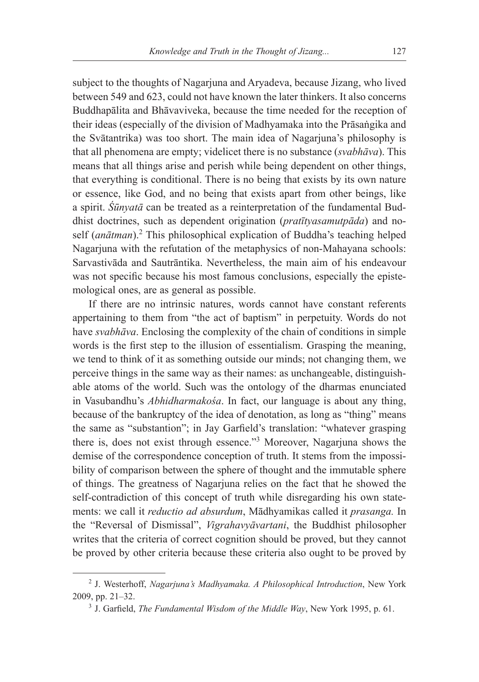subject to the thoughts of Nagarjuna and Aryadeva, because Jizang, who lived between 549 and 623, could not have known the later thinkers. It also concerns Buddhapālita and Bhāvaviveka, because the time needed for the reception of their ideas (especially of the division of Madhyamaka into the Prāsaṅgika and the Svātantrika) was too short. The main idea of Nagarjuna's philosophy is that all phenomena are empty; videlicet there is no substance (*svabhāva*). This means that all things arise and perish while being dependent on other things, that everything is conditional. There is no being that exists by its own nature or essence, like God, and no being that exists apart from other beings, like a spirit. *Śūnyatā* can be treated as a reinterpretation of the fundamental Buddhist doctrines, such as dependent origination (*pratītyasamutpāda*) and noself (anātman).<sup>2</sup> This philosophical explication of Buddha's teaching helped Nagarjuna with the refutation of the metaphysics of non-Mahayana schools: Sarvastivāda and Sautrāntika. Nevertheless, the main aim of his endeavour was not specific because his most famous conclusions, especially the epistemological ones, are as general as possible.

If there are no intrinsic natures, words cannot have constant referents appertaining to them from "the act of baptism" in perpetuity. Words do not have *svabhāva*. Enclosing the complexity of the chain of conditions in simple words is the first step to the illusion of essentialism. Grasping the meaning, we tend to think of it as something outside our minds; not changing them, we perceive things in the same way as their names: as unchangeable, distinguishable atoms of the world. Such was the ontology of the dharmas enunciated in Vasubandhu's *Abhidharmakośa*. In fact, our language is about any thing, because of the bankruptcy of the idea of denotation, as long as "thing" means the same as "substantion"; in Jay Garfield's translation: "whatever grasping there is, does not exist through essence."3 Moreover, Nagarjuna shows the demise of the correspondence conception of truth. It stems from the impossibility of comparison between the sphere of thought and the immutable sphere of things. The greatness of Nagarjuna relies on the fact that he showed the self-contradiction of this concept of truth while disregarding his own statements: we call it *reductio ad absurdum*, Mādhyamikas called it *prasanga.* In the "Reversal of Dismissal", *Vigrahavyāvartani*, the Buddhist philosopher writes that the criteria of correct cognition should be proved, but they cannot be proved by other criteria because these criteria also ought to be proved by

<sup>2</sup> J. Westerhoff, *Nagarjuna's Madhyamaka. A Philosophical Introduction*, New York 2009, pp. 21–32.

<sup>3</sup> J. Garfield, *The Fundamental Wisdom of the Middle Way*, New York 1995, p. 61.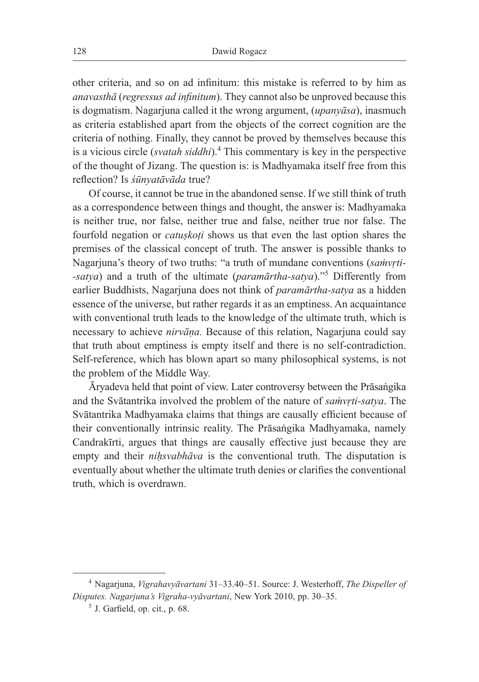other criteria, and so on ad infinitum: this mistake is referred to by him as *anavasthā* (*regressus ad infinitum*). They cannot also be unproved because this is dogmatism. Nagarjuna called it the wrong argument, (*upanyāsa*), inasmuch as criteria established apart from the objects of the correct cognition are the criteria of nothing. Finally, they cannot be proved by themselves because this is a vicious circle (*svatah siddhi*).<sup>4</sup> This commentary is key in the perspective of the thought of Jizang. The question is: is Madhyamaka itself free from this reflection? Is *śūnyatāvāda* true?

Of course, it cannot be true in the abandoned sense. If we still think of truth as a correspondence between things and thought, the answer is: Madhyamaka is neither true, nor false, neither true and false, neither true nor false. The fourfold negation or *catuṣkoṭi* shows us that even the last option shares the premises of the classical concept of truth. The answer is possible thanks to Nagarjuna's theory of two truths: "a truth of mundane conventions (*saṁvṛti- -satya*) and a truth of the ultimate (*paramārtha-satya*)."5 Differently from earlier Buddhists, Nagarjuna does not think of *paramārtha-satya* as a hidden essence of the universe, but rather regards it as an emptiness. An acquaintance with conventional truth leads to the knowledge of the ultimate truth, which is necessary to achieve *nirvāṇa.* Because of this relation, Nagarjuna could say that truth about emptiness is empty itself and there is no self-contradiction. Self-reference, which has blown apart so many philosophical systems, is not the problem of the Middle Way.

Āryadeva held that point of view. Later controversy between the Prāsaṅgika and the Svātantrika involved the problem of the nature of *saṁvṛti-satya*. The Svātantrika Madhyamaka claims that things are causally efficient because of their conventionally intrinsic reality. The Prāsaṅgika Madhyamaka, namely Candrakīrti, argues that things are causally effective just because they are empty and their *nihsvabhāva* is the conventional truth. The disputation is eventually about whether the ultimate truth denies or clarifies the conventional truth, which is overdrawn.

<sup>4</sup> Nagarjuna, *Vigrahavyāvartani* 31–33.40–51. Source: J. Westerhoff, *The Dispeller of Disputes. Nagarjuna's Vigraha-vyāvartani*, New York 2010, pp. 30–35.

 $<sup>5</sup>$  J. Garfield, op. cit., p. 68.</sup>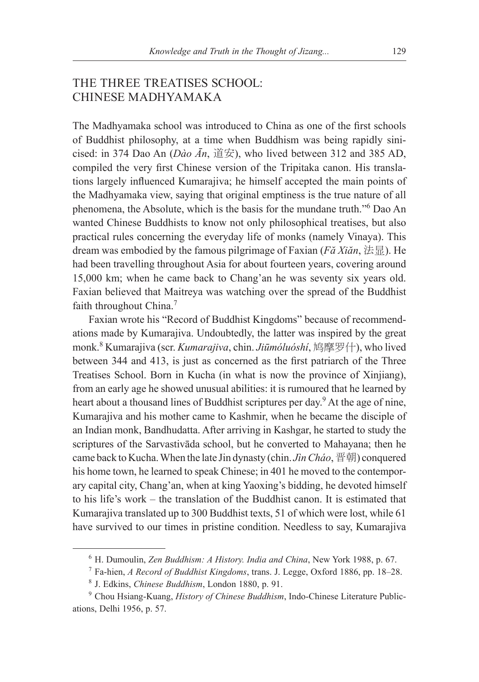## THE THREE TREATISES SCHOOL: CHINESE MADHYAMAKA

The Madhyamaka school was introduced to China as one of the first schools of Buddhist philosophy, at a time when Buddhism was being rapidly sinicised: in 374 Dao An (*Dào Ān*, 道安), who lived between 312 and 385 AD, compiled the very first Chinese version of the Tripitaka canon. His translations largely influenced Kumarajiva; he himself accepted the main points of the Madhyamaka view, saying that original emptiness is the true nature of all phenomena, the Absolute, which is the basis for the mundane truth."6 Dao An wanted Chinese Buddhists to know not only philosophical treatises, but also practical rules concerning the everyday life of monks (namely Vinaya). This dream was embodied by the famous pilgrimage of Faxian ( $F\check{a}$  Xiǎn,  $\sharp \sharp \sharp$ ). He had been travelling throughout Asia for about fourteen years, covering around 15,000 km; when he came back to Chang'an he was seventy six years old. Faxian believed that Maitreya was watching over the spread of the Buddhist faith throughout China.<sup>7</sup>

Faxian wrote his "Record of Buddhist Kingdoms" because of recommendations made by Kumarajiva. Undoubtedly, the latter was inspired by the great monk.8 Kumarajiva (scr. *Kumarajiva*, chin. *Jiūmóluóshí*, 鸠摩罗什), who lived between 344 and 413, is just as concerned as the first patriarch of the Three Treatises School. Born in Kucha (in what is now the province of Xinjiang), from an early age he showed unusual abilities: it is rumoured that he learned by heart about a thousand lines of Buddhist scriptures per day.<sup>9</sup> At the age of nine, Kumarajiva and his mother came to Kashmir, when he became the disciple of an Indian monk, Bandhudatta. After arriving in Kashgar, he started to study the scriptures of the Sarvastivāda school, but he converted to Mahayana; then he came back to Kucha. When the late Jin dynasty (chin. *Jìn Cháo*, 晋朝) conquered his home town, he learned to speak Chinese; in 401 he moved to the contemporary capital city, Chang'an, when at king Yaoxing's bidding, he devoted himself to his life's work – the translation of the Buddhist canon. It is estimated that Kumarajiva translated up to 300 Buddhist texts, 51 of which were lost, while 61 have survived to our times in pristine condition. Needless to say, Kumarajiva

<sup>6</sup> H. Dumoulin, *Zen Buddhism: A History. India and China*, New York 1988, p. 67.

<sup>7</sup> Fa-hien, *A Record of Buddhist Kingdoms*, trans. J. Legge, Oxford 1886, pp. 18–28.

<sup>8</sup> J. Edkins, *Chinese Buddhism*, London 1880, p. 91.

<sup>9</sup> Chou Hsiang-Kuang, *History of Chinese Buddhism*, Indo-Chinese Literature Publications, Delhi 1956, p. 57.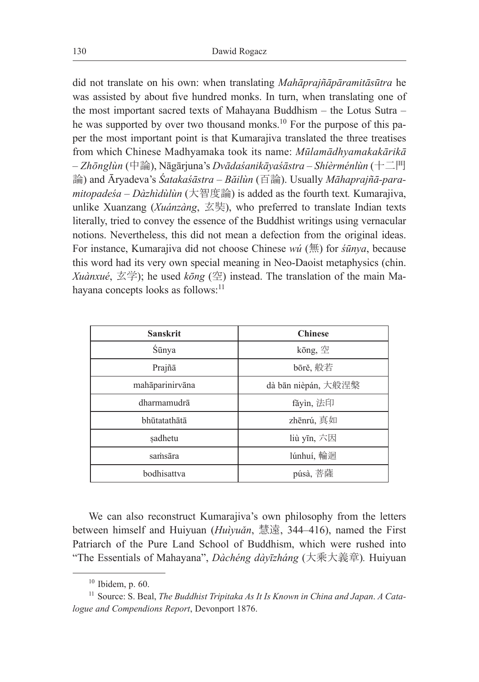did not translate on his own: when translating *Mahāprajñāpāramitāsūtra* he was assisted by about five hundred monks. In turn, when translating one of the most important sacred texts of Mahayana Buddhism – the Lotus Sutra – he was supported by over two thousand monks.<sup>10</sup> For the purpose of this paper the most important point is that Kumarajiva translated the three treatises from which Chinese Madhyamaka took its name: *Mūlamādhyamakakārikā* – *Zhōnglùn* (中論), Nāgārjuna's *Dvādaśanikāyaśāstra* – *Shíèrménlùn* (十二門 論) and Āryadeva's *Śatakaśāstra – Băilùn* (百論). Usually *Māhaprajñā-paramitopadeśa – Dàzhìdùlùn* (大智度論) is added as the fourth text*.* Kumarajiva, unlike Xuanzang (*Xuánzàng*, 玄奘), who preferred to translate Indian texts literally, tried to convey the essence of the Buddhist writings using vernacular notions. Nevertheless, this did not mean a defection from the original ideas. For instance, Kumarajiva did not choose Chinese *wú* (無) for *śūnya*, because this word had its very own special meaning in Neo-Daoist metaphysics (chin. *Xuànxué*, 玄学); he used *kōng* (空) instead. The translation of the main Mahayana concepts looks as follows:<sup>11</sup>

| <b>Sanskrit</b> | <b>Chinese</b>      |
|-----------------|---------------------|
| Śūnya           | kōng, 空             |
| Prajñā          | bōrě, 般若            |
| mahāparinirvāna | dà bān nièpán, 大般涅槃 |
| dharmamudrā     | fǎyìn, 法印           |
| bhūtatathātā    | zhēnrú, 真如          |
| sadhetu         | liù yīn, 六因         |
| samsāra         | lúnhuí, 輪迴          |
| bodhisattva     | púsà, 菩薩            |

We can also reconstruct Kumarajiva's own philosophy from the letters between himself and Huiyuan (*Huìyuǎn*, 慧遠, 344–416), named the First Patriarch of the Pure Land School of Buddhism, which were rushed into "The Essentials of Mahayana", *Dàchéng dàyīzháng* (大乘大義章)*.* Huiyuan

 $10$  Ibidem, p. 60.

<sup>11</sup> Source: S. Beal, *The Buddhist Tripitaka As It Is Known in China and Japan*. *A Catalogue and Compendions Report*, Devonport 1876.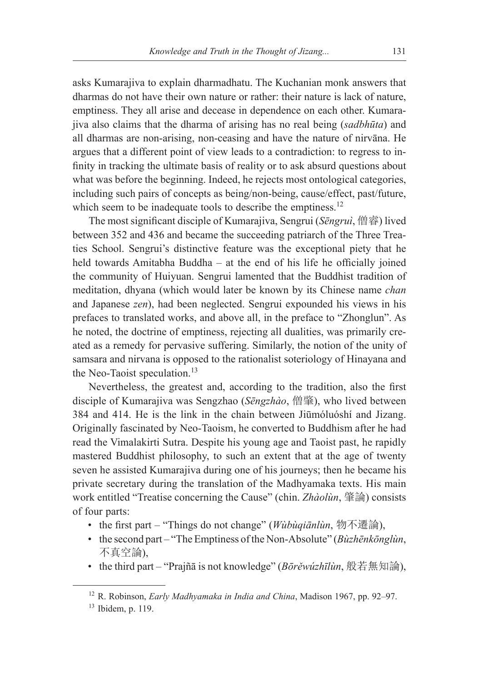asks Kumarajiva to explain dharmadhatu. The Kuchanian monk answers that dharmas do not have their own nature or rather: their nature is lack of nature, emptiness. They all arise and decease in dependence on each other. Kumarajiva also claims that the dharma of arising has no real being (*sadbhūta*) and all dharmas are non-arising, non-ceasing and have the nature of nirvāna. He argues that a different point of view leads to a contradiction: to regress to infinity in tracking the ultimate basis of reality or to ask absurd questions about what was before the beginning. Indeed, he rejects most ontological categories, including such pairs of concepts as being/non-being, cause/effect, past/future, which seem to be inadequate tools to describe the emptiness.<sup>12</sup>

The most significant disciple of Kumarajiva, Sengrui (*Sēngruì*, 僧睿) lived between 352 and 436 and became the succeeding patriarch of the Three Treaties School. Sengrui's distinctive feature was the exceptional piety that he held towards Amitabha Buddha – at the end of his life he officially joined the community of Huiyuan. Sengrui lamented that the Buddhist tradition of meditation, dhyana (which would later be known by its Chinese name *chan* and Japanese *zen*), had been neglected. Sengrui expounded his views in his prefaces to translated works, and above all, in the preface to "Zhonglun". As he noted, the doctrine of emptiness, rejecting all dualities, was primarily created as a remedy for pervasive suffering. Similarly, the notion of the unity of samsara and nirvana is opposed to the rationalist soteriology of Hinayana and the Neo-Taoist speculation.<sup>13</sup>

Nevertheless, the greatest and, according to the tradition, also the first disciple of Kumarajiva was Sengzhao (*Sēngzhào*, 僧肇), who lived between 384 and 414. He is the link in the chain between Jiūmóluóshí and Jizang. Originally fascinated by Neo-Taoism, he converted to Buddhism after he had read the Vimalakirti Sutra. Despite his young age and Taoist past, he rapidly mastered Buddhist philosophy, to such an extent that at the age of twenty seven he assisted Kumarajiva during one of his journeys; then he became his private secretary during the translation of the Madhyamaka texts. His main work entitled "Treatise concerning the Cause" (chin. *Zhàolùn*, 肇論) consists of four parts:

- the first part "Things do not change" (*Wùbùqiānlùn*, 物不遷論),
- the second part "The Emptiness of the Non-Absolute" (*Bùzhēnkōnglùn*, 不真空論),
- the third part "Prajñā is not knowledge" (*Bōrěwúzhīlùn*, 般若無知論),

<sup>12</sup> R. Robinson, *Early Madhyamaka in India and China*, Madison 1967, pp. 92–97.

<sup>13</sup> Ibidem, p. 119.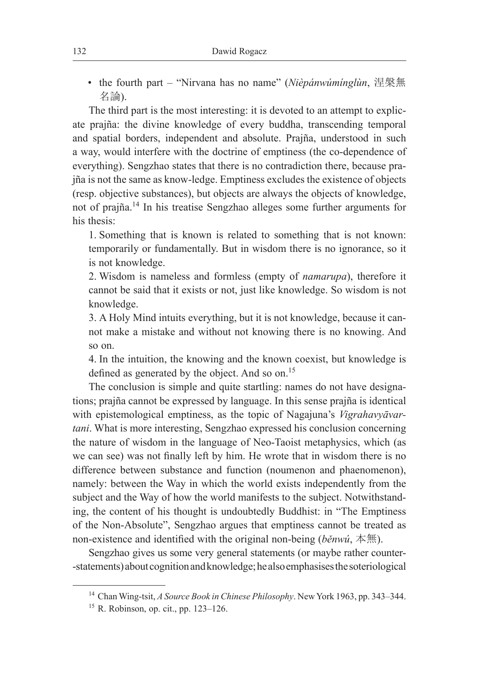• the fourth part – "Nirvana has no name" (*Nièpánwúmínglùn*, 涅槃無 名論).

The third part is the most interesting: it is devoted to an attempt to explicate prajña: the divine knowledge of every buddha, transcending temporal and spatial borders, independent and absolute. Prajña, understood in such a way, would interfere with the doctrine of emptiness (the co-dependence of everything). Sengzhao states that there is no contradiction there, because prajña is not the same as know-ledge. Emptiness excludes the existence of objects (resp. objective substances), but objects are always the objects of knowledge, not of prajña.14 In his treatise Sengzhao alleges some further arguments for his thesis:

1. Something that is known is related to something that is not known: temporarily or fundamentally. But in wisdom there is no ignorance, so it is not knowledge.

2. Wisdom is nameless and formless (empty of *namarupa*), therefore it cannot be said that it exists or not, just like knowledge. So wisdom is not knowledge.

3. A Holy Mind intuits everything, but it is not knowledge, because it cannot make a mistake and without not knowing there is no knowing. And so on.

4. In the intuition, the knowing and the known coexist, but knowledge is defined as generated by the object. And so on.<sup>15</sup>

The conclusion is simple and quite startling: names do not have designations; prajña cannot be expressed by language. In this sense prajña is identical with epistemological emptiness, as the topic of Nagajuna's *Vigrahavyāvartani*. What is more interesting, Sengzhao expressed his conclusion concerning the nature of wisdom in the language of Neo-Taoist metaphysics, which (as we can see) was not finally left by him. He wrote that in wisdom there is no difference between substance and function (noumenon and phaenomenon), namely: between the Way in which the world exists independently from the subject and the Way of how the world manifests to the subject. Notwithstanding, the content of his thought is undoubtedly Buddhist: in "The Emptiness of the Non-Absolute", Sengzhao argues that emptiness cannot be treated as non-existence and identified with the original non-being (*běnwú*, 本無).

Sengzhao gives us some very general statements (or maybe rather counter- -statements) about cognition and knowledge; he also emphasises the soteriological

<sup>14</sup> Chan Wing-tsit, *A Source Book in Chinese Philosophy*. New York 1963, pp. 343–344.

<sup>15</sup> R. Robinson, op. cit., pp. 123–126.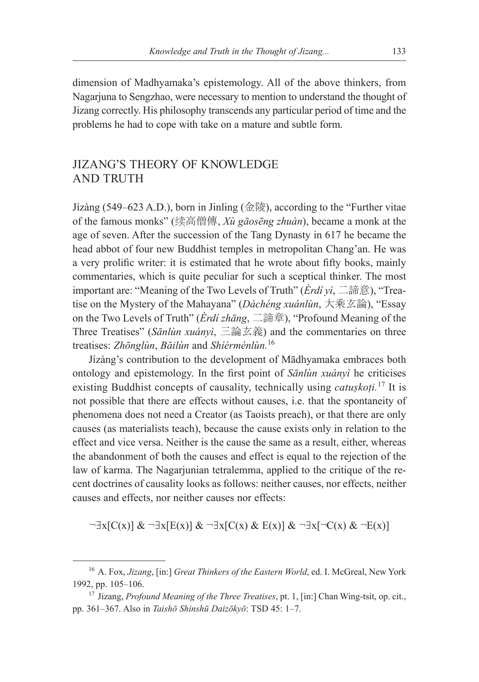dimension of Madhyamaka's epistemology. All of the above thinkers, from Nagarjuna to Sengzhao, were necessary to mention to understand the thought of Jizang correctly. His philosophy transcends any particular period of time and the problems he had to cope with take on a mature and subtle form.

### JIZANG'S THEORY OF KNOWLEDGE AND TRUTH

Jízàng (549–623 A.D.), born in Jinling (金陵), according to the "Further vitae of the famous monks" (续高僧傳, *Xù gāosēng zhuàn*), became a monk at the age of seven. After the succession of the Tang Dynasty in 617 he became the head abbot of four new Buddhist temples in metropolitan Chang'an. He was a very prolific writer: it is estimated that he wrote about fifty books, mainly commentaries, which is quite peculiar for such a sceptical thinker. The most important are: "Meaning of the Two Levels of Truth" (*Èrdí yì*, 二諦意), "Treatise on the Mystery of the Mahayana" (*Dàchéng xuánlùn*, 大乘玄論), "Essay on the Two Levels of Truth" (*Èrdí zhāng*, 二諦章), "Profound Meaning of the Three Treatises" (*Sānlùn xuányì*, 三論玄義) and the commentaries on three treatises: *Zhōnglùn*, *Băilùn* and *Shíèrménlùn.*<sup>16</sup>

Jízàng's contribution to the development of Mādhyamaka embraces both ontology and epistemology. In the first point of *Sānlùn xuányì* he criticises existing Buddhist concepts of causality, technically using *catuskoti.*<sup>17</sup> It is not possible that there are effects without causes, i.e. that the spontaneity of phenomena does not need a Creator (as Taoists preach), or that there are only causes (as materialists teach), because the cause exists only in relation to the effect and vice versa. Neither is the cause the same as a result, either, whereas the abandonment of both the causes and effect is equal to the rejection of the law of karma. The Nagarjunian tetralemma, applied to the critique of the recent doctrines of causality looks as follows: neither causes, nor effects, neither causes and effects, nor neither causes nor effects:

$$
\neg \exists x [C(x)] \& \neg \exists x [E(x)] \& \neg \exists x [C(x) \& E(x)] \& \neg \exists x [\neg C(x) \& \neg E(x)]
$$

<sup>16</sup> A. Fox, *Jizang*, [in:] *Great Thinkers of the Eastern World*, ed. I. McGreal, New York 1992, pp. 105–106.

<sup>17</sup> Jizang, *Profound Meaning of the Three Treatises*, pt. 1, [in:] Chan Wing-tsit, op. cit., pp. 361–367. Also in *Taishō Shinshū Daizōkyō*: TSD 45: 1–7.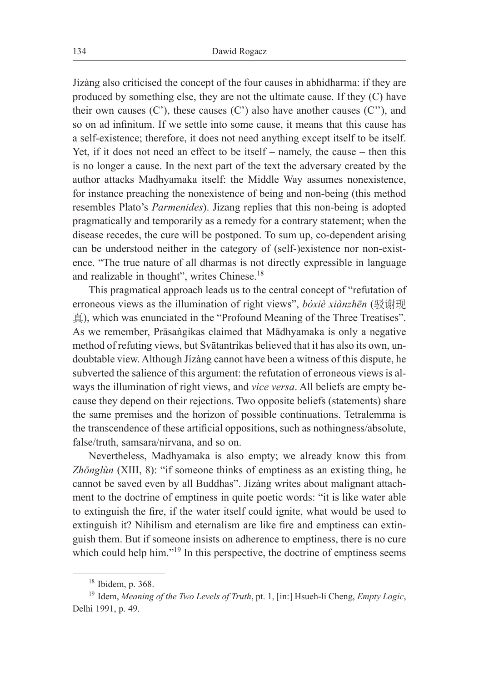Jízàng also criticised the concept of the four causes in abhidharma: if they are produced by something else, they are not the ultimate cause. If they (C) have their own causes  $(C')$ , these causes  $(C')$  also have another causes  $(C'')$ , and so on ad infinitum. If we settle into some cause, it means that this cause has a self-existence; therefore, it does not need anything except itself to be itself. Yet, if it does not need an effect to be itself – namely, the cause – then this is no longer a cause. In the next part of the text the adversary created by the author attacks Madhyamaka itself: the Middle Way assumes nonexistence, for instance preaching the nonexistence of being and non-being (this method resembles Plato's *Parmenides*). Jizang replies that this non-being is adopted pragmatically and temporarily as a remedy for a contrary statement; when the disease recedes, the cure will be postponed. To sum up, co-dependent arising can be understood neither in the category of (self-)existence nor non-existence. "The true nature of all dharmas is not directly expressible in language and realizable in thought", writes Chinese.18

This pragmatical approach leads us to the central concept of "refutation of erroneous views as the illumination of right views", *bóxiè xiànzhēn* (驳谢现 真), which was enunciated in the "Profound Meaning of the Three Treatises". As we remember, Prāsaṅgikas claimed that Mādhyamaka is only a negative method of refuting views, but Svātantrikas believed that it has also its own, undoubtable view. Although Jízàng cannot have been a witness of this dispute, he subverted the salience of this argument: the refutation of erroneous views is always the illumination of right views, and *vice versa*. All beliefs are empty because they depend on their rejections. Two opposite beliefs (statements) share the same premises and the horizon of possible continuations. Tetralemma is the transcendence of these artificial oppositions, such as nothingness/absolute, false/truth, samsara/nirvana, and so on.

Nevertheless, Madhyamaka is also empty; we already know this from *Zhōnglùn* (XIII, 8): "if someone thinks of emptiness as an existing thing, he cannot be saved even by all Buddhas". Jízàng writes about malignant attachment to the doctrine of emptiness in quite poetic words: "it is like water able to extinguish the fire, if the water itself could ignite, what would be used to extinguish it? Nihilism and eternalism are like fire and emptiness can extinguish them. But if someone insists on adherence to emptiness, there is no cure which could help him."<sup>19</sup> In this perspective, the doctrine of emptiness seems

<sup>18</sup> Ibidem, p. 368.

<sup>19</sup> Idem, *Meaning of the Two Levels of Truth*, pt. 1, [in:] Hsueh-li Cheng, *Empty Logic*, Delhi 1991, p. 49.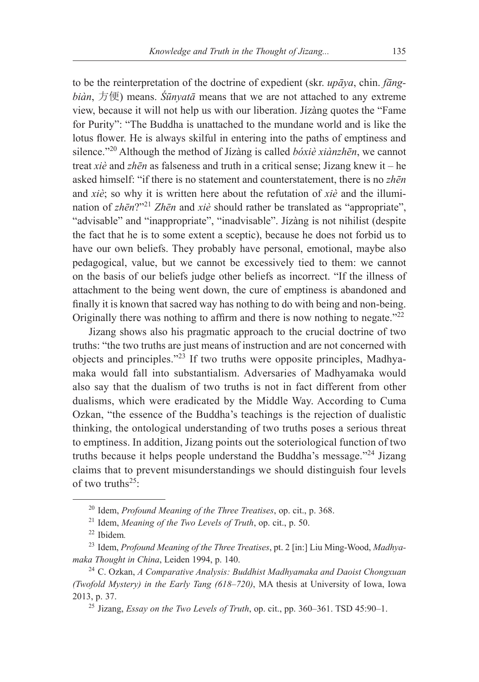to be the reinterpretation of the doctrine of expedient (skr. *upāya*, chin. *fāngbiàn*, 方便) means. *Śūnyatā* means that we are not attached to any extreme view, because it will not help us with our liberation. Jízàng quotes the "Fame for Purity": "The Buddha is unattached to the mundane world and is like the lotus flower. He is always skilful in entering into the paths of emptiness and silence."20 Although the method of Jízàng is called *bóxiè xiànzhēn*, we cannot treat *xiè* and *zhēn* as falseness and truth in a critical sense; Jizang knew it – he asked himself: "if there is no statement and counterstatement, there is no *zhēn*  and *xiè*; so why it is written here about the refutation of *xiè* and the illumination of *zhēn*?"<sup>21</sup> *Zhēn* and *xiè* should rather be translated as "appropriate", "advisable" and "inappropriate", "inadvisable". Jízàng is not nihilist (despite the fact that he is to some extent a sceptic), because he does not forbid us to have our own beliefs. They probably have personal, emotional, maybe also pedagogical, value, but we cannot be excessively tied to them: we cannot on the basis of our beliefs judge other beliefs as incorrect. "If the illness of attachment to the being went down, the cure of emptiness is abandoned and finally it is known that sacred way has nothing to do with being and non-being. Originally there was nothing to affirm and there is now nothing to negate.<sup>"22</sup>

Jizang shows also his pragmatic approach to the crucial doctrine of two truths: "the two truths are just means of instruction and are not concerned with objects and principles."23 If two truths were opposite principles, Madhyamaka would fall into substantialism. Adversaries of Madhyamaka would also say that the dualism of two truths is not in fact different from other dualisms, which were eradicated by the Middle Way. According to Cuma Ozkan, "the essence of the Buddha's teachings is the rejection of dualistic thinking, the ontological understanding of two truths poses a serious threat to emptiness. In addition, Jizang points out the soteriological function of two truths because it helps people understand the Buddha's message."24 Jizang claims that to prevent misunderstandings we should distinguish four levels of two truths $^{25}$ :

<sup>20</sup> Idem, *Profound Meaning of the Three Treatises*, op. cit., p. 368.

<sup>21</sup> Idem, *Meaning of the Two Levels of Truth*, op. cit., p. 50. 22 Ibidem*.*

<sup>23</sup> Idem, *Profound Meaning of the Three Treatises*, pt. 2 [in:] Liu Ming-Wood, *Madhyamaka Thought in China*, Leiden 1994, p. 140.

<sup>24</sup> C. Ozkan, *A Comparative Analysis: Buddhist Madhyamaka and Daoist Chongxuan (Twofold Mystery) in the Early Tang (618–720)*, MA thesis at University of Iowa, Iowa 2013, p. 37.

<sup>25</sup> Jizang, *Essay on the Two Levels of Truth*, op. cit., pp. 360–361. TSD 45:90–1.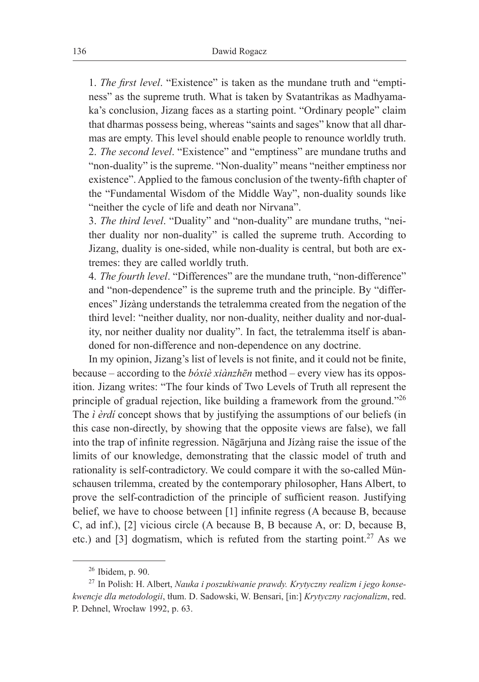1. *The first level*. "Existence" is taken as the mundane truth and "emptiness" as the supreme truth. What is taken by Svatantrikas as Madhyamaka's conclusion, Jizang faces as a starting point. "Ordinary people" claim that dharmas possess being, whereas "saints and sages" know that all dharmas are empty. This level should enable people to renounce worldly truth. 2. *The second level*. "Existence" and "emptiness" are mundane truths and "non-duality" is the supreme. "Non-duality" means "neither emptiness nor existence". Applied to the famous conclusion of the twenty-fifth chapter of the "Fundamental Wisdom of the Middle Way", non-duality sounds like "neither the cycle of life and death nor Nirvana".

3. *The third level*. "Duality" and "non-duality" are mundane truths, "neither duality nor non-duality" is called the supreme truth. According to Jizang, duality is one-sided, while non-duality is central, but both are extremes: they are called worldly truth.

4. *The fourth level*. "Differences" are the mundane truth, "non-difference" and "non-dependence" is the supreme truth and the principle. By "differences" Jízàng understands the tetralemma created from the negation of the third level: "neither duality, nor non-duality, neither duality and nor-duality, nor neither duality nor duality". In fact, the tetralemma itself is abandoned for non-difference and non-dependence on any doctrine.

In my opinion, Jizang's list of levels is not finite, and it could not be finite, because – according to the *bóxiè xiànzhēn* method – every view has its opposition. Jizang writes: "The four kinds of Two Levels of Truth all represent the principle of gradual rejection, like building a framework from the ground."26 The *ì èrdí* concept shows that by justifying the assumptions of our beliefs (in this case non-directly, by showing that the opposite views are false), we fall into the trap of infinite regression. Nāgārjuna and Jízàng raise the issue of the limits of our knowledge, demonstrating that the classic model of truth and rationality is self-contradictory. We could compare it with the so-called Münschausen trilemma, created by the contemporary philosopher, Hans Albert, to prove the self-contradiction of the principle of sufficient reason. Justifying belief, we have to choose between [1] infinite regress (A because B, because C, ad inf.), [2] vicious circle (A because B, B because A, or: D, because B, etc.) and [3] dogmatism, which is refuted from the starting point.<sup>27</sup> As we

<sup>26</sup> Ibidem, p. 90.

<sup>27</sup> In Polish: H. Albert, *Nauka i poszukiwanie prawdy. Krytyczny realizm i jego konsekwencje dla metodologii*, tłum. D. Sadowski, W. Bensari, [in:] *Krytyczny racjonalizm*, red. P. Dehnel, Wrocław 1992, p. 63.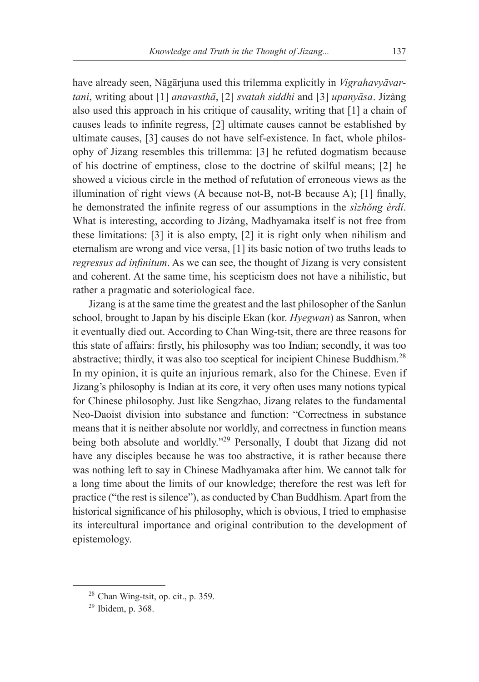have already seen, Nāgārjuna used this trilemma explicitly in *Vigrahavyāvartani*, writing about [1] *anavasthā*, [2] *svatah siddhi* and [3] *upanyāsa*. Jízàng also used this approach in his critique of causality, writing that [1] a chain of causes leads to infinite regress, [2] ultimate causes cannot be established by ultimate causes, [3] causes do not have self-existence. In fact, whole philosophy of Jizang resembles this trillemma: [3] he refuted dogmatism because of his doctrine of emptiness, close to the doctrine of skilful means; [2] he showed a vicious circle in the method of refutation of erroneous views as the illumination of right views (A because not-B, not-B because A); [1] finally, he demonstrated the infinite regress of our assumptions in the *sìzhŏng èrdí*. What is interesting, according to Jízàng, Madhyamaka itself is not free from these limitations: [3] it is also empty, [2] it is right only when nihilism and eternalism are wrong and vice versa, [1] its basic notion of two truths leads to *regressus ad infinitum*. As we can see, the thought of Jizang is very consistent and coherent. At the same time, his scepticism does not have a nihilistic, but rather a pragmatic and soteriological face.

Jizang is at the same time the greatest and the last philosopher of the Sanlun school, brought to Japan by his disciple Ekan (kor. *Hyegwan*) as Sanron, when it eventually died out. According to Chan Wing-tsit, there are three reasons for this state of affairs: firstly, his philosophy was too Indian; secondly, it was too abstractive; thirdly, it was also too sceptical for incipient Chinese Buddhism.28 In my opinion, it is quite an injurious remark, also for the Chinese. Even if Jizang's philosophy is Indian at its core, it very often uses many notions typical for Chinese philosophy. Just like Sengzhao, Jizang relates to the fundamental Neo-Daoist division into substance and function: "Correctness in substance means that it is neither absolute nor worldly, and correctness in function means being both absolute and worldly."<sup>29</sup> Personally, I doubt that Jizang did not have any disciples because he was too abstractive, it is rather because there was nothing left to say in Chinese Madhyamaka after him. We cannot talk for a long time about the limits of our knowledge; therefore the rest was left for practice ("the rest is silence"), as conducted by Chan Buddhism. Apart from the historical significance of his philosophy, which is obvious, I tried to emphasise its intercultural importance and original contribution to the development of epistemology.

<sup>28</sup> Chan Wing-tsit, op. cit., p. 359.

<sup>29</sup> Ibidem, p. 368.